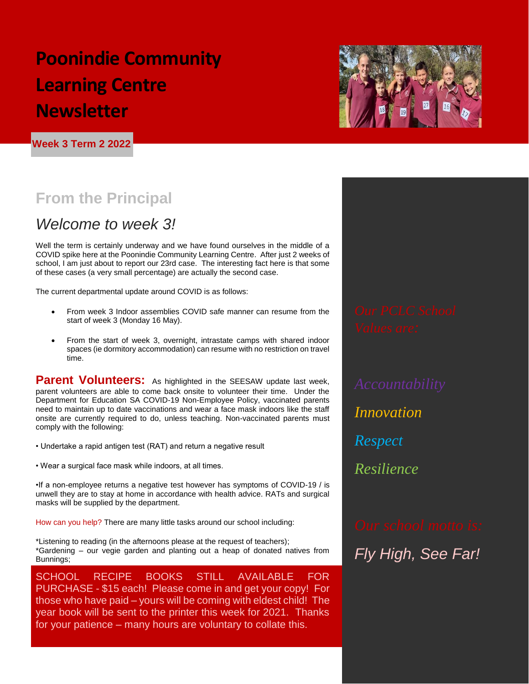## **Poonindie Community Learning Centre Newsletter**

**Week 3 Term 2 2022**



## **From the Principal**

### *Welcome to week 3!*

Well the term is certainly underway and we have found ourselves in the middle of a COVID spike here at the Poonindie Community Learning Centre. After just 2 weeks of school, I am just about to report our 23rd case. The interesting fact here is that some of these cases (a very small percentage) are actually the second case.

The current departmental update around COVID is as follows:

- From week 3 Indoor assemblies COVID safe manner can resume from the start of week 3 (Monday 16 May).
- From the start of week 3, overnight, intrastate camps with shared indoor spaces (ie dormitory accommodation) can resume with no restriction on travel time.

**Parent Volunteers:** As highlighted in the SEESAW update last week, parent volunteers are able to come back onsite to volunteer their time. Under the Department for Education SA COVID-19 Non-Employee Policy, vaccinated parents need to maintain up to date vaccinations and wear a face mask indoors like the staff onsite are currently required to do, unless teaching. Non-vaccinated parents must comply with the following:

- Undertake a rapid antigen test (RAT) and return a negative result
- Wear a surgical face mask while indoors, at all times.

•If a non-employee returns a negative test however has symptoms of COVID-19 / is unwell they are to stay at home in accordance with health advice. RATs and surgical masks will be supplied by the department.

How can you help? There are many little tasks around our school including:

\*Listening to reading (in the afternoons please at the request of teachers); \*Gardening – our vegie garden and planting out a heap of donated natives from Bunnings;

SCHOOL RECIPE BOOKS STILL AVAILABLE FOR PURCHASE - \$15 each! Please come in and get your copy! For those who have paid – yours will be coming with eldest child! The year book will be sent to the printer this week for 2021. Thanks for your patience – many hours are voluntary to collate this.

*Innovation Respect Resilience*

*Fly High, See Far!*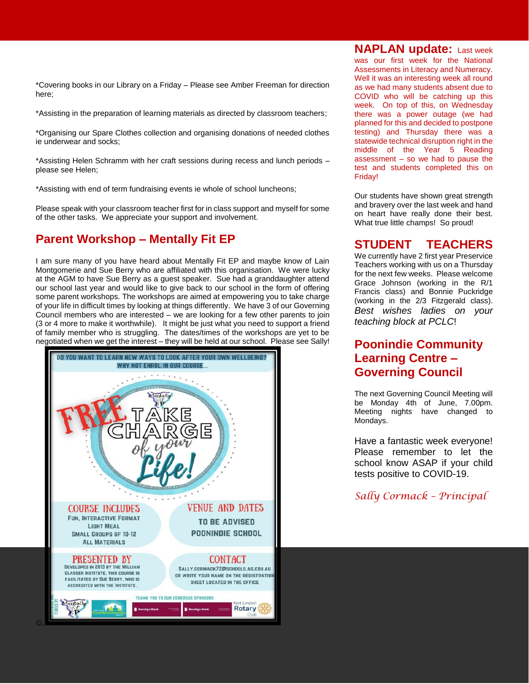\*Covering books in our Library on a Friday – Please see Amber Freeman for direction here;

\*Assisting in the preparation of learning materials as directed by classroom teachers;

\*Organising our Spare Clothes collection and organising donations of needed clothes ie underwear and socks;

\*Assisting Helen Schramm with her craft sessions during recess and lunch periods – please see Helen;

\*Assisting with end of term fundraising events ie whole of school luncheons;

Please speak with your classroom teacher first for in class support and myself for some of the other tasks. We appreciate your support and involvement.

#### **Parent Workshop – Mentally Fit EP**

I am sure many of you have heard about Mentally Fit EP and maybe know of Lain Montgomerie and Sue Berry who are affiliated with this organisation. We were lucky at the AGM to have Sue Berry as a guest speaker. Sue had a granddaughter attend our school last year and would like to give back to our school in the form of offering some parent workshops. The workshops are aimed at empowering you to take charge of your life in difficult times by looking at things differently. We have 3 of our Governing Council members who are interested – we are looking for a few other parents to join (3 or 4 more to make it worthwhile). It might be just what you need to support a friend of family member who is struggling. The dates/times of the workshops are yet to be negotiated when we get the interest – they will be held at our school. Please see Sally!



**NAPLAN update:** Last week was our first week for the National Assessments in Literacy and Numeracy. Well it was an interesting week all round as we had many students absent due to COVID who will be catching up this week. On top of this, on Wednesday there was a power outage (we had planned for this and decided to postpone testing) and Thursday there was a statewide technical disruption right in the middle of the Year 5 Reading assessment – so we had to pause the test and students completed this on Friday!

Our students have shown great strength and bravery over the last week and hand on heart have really done their best. What true little champs! So proud!

### **STUDENT TEACHERS**

We currently have 2 first year Preservice Teachers working with us on a Thursday for the next few weeks. Please welcome Grace Johnson (working in the R/1 Francis class) and Bonnie Puckridge (working in the 2/3 Fitzgerald class). *Best wishes ladies on your teaching block at PCLC*!

#### **Poonindie Community Learning Centre – Governing Council**

The next Governing Council Meeting will be Monday 4th of June, 7.00pm. Meeting nights have changed to Mondays.

Have a fantastic week everyone! Please remember to let the school know ASAP if your child tests positive to COVID-19.

*Sally Cormack – Principal*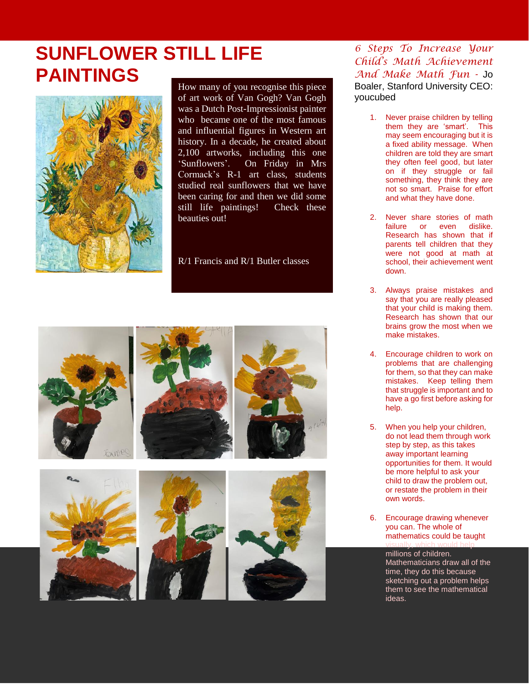## **SUNFLOWER STILL LIFE PAINTINGS**



How many of you recognise this piece of art work of Van Gogh? Van Gogh was a Dutch Post-Impressionist painter who became one of the most famous and influential figures in Western art history. In a decade, he created about 2,100 artworks, including this one 'Sunflowers'. On Friday in Mrs Cormack's R-1 art class, students studied real sunflowers that we have been caring for and then we did some still life paintings! Check these beauties out!

R/1 Francis and R/1 Butler classes



*6 Steps To Increase Your Child's Math Achievement And Make Math Fun -* Jo Boaler, Stanford University CEO: youcubed

- 1. Never praise children by telling them they are 'smart'. This may seem encouraging but it is a fixed ability message. When children are told they are smart they often feel good, but later on if they struggle or fail something, they think they are not so smart. Praise for effort and what they have done.
- 2. Never share stories of math failure or even dislike. Research has shown that if parents tell children that they were not good at math at school, their achievement went down.
- 3. Always praise mistakes and say that you are really pleased that your child is making them. Research has shown that our brains grow the most when we make mistakes.
- 4. Encourage children to work on problems that are challenging for them, so that they can make mistakes. Keep telling them that struggle is important and to have a go first before asking for help.
- 5. When you help your children, do not lead them through work step by step, as this takes away important learning opportunities for them. It would be more helpful to ask your child to draw the problem out, or restate the problem in their own words.
- 6. Encourage drawing whenever you can. The whole of mathematics could be taught visually, which would help

millions of children. Mathematicians draw all of the time, they do this because sketching out a problem helps them to see the mathematical ideas.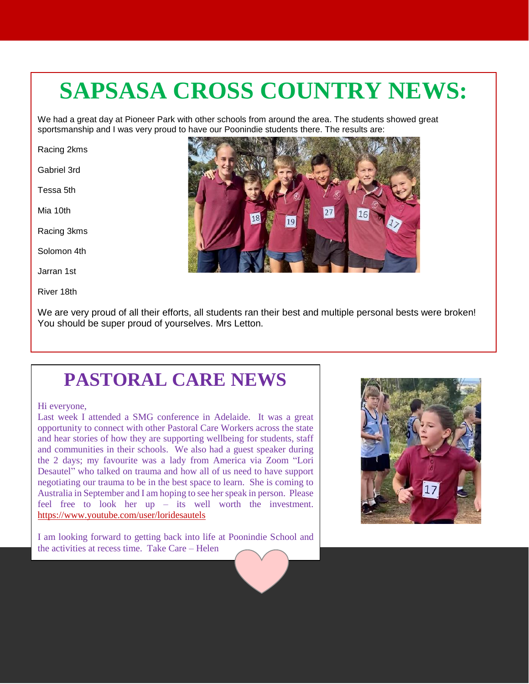# **SAPSASA CROSS COUNTRY NEWS:**

We had a great day at Pioneer Park with other schools from around the area. The students showed great sportsmanship and I was very proud to have our Poonindie students there. The results are:

Racing 2kms

Gabriel 3rd

Tessa 5th

Mia 10th

Racing 3kms

Solomon 4th

Jarran 1st

River 18th

We are very proud of all their efforts, all students ran their best and multiple personal bests were broken! You should be super proud of yourselves. Mrs Letton.

## **PASTORAL CARE NEWS**

#### Hi everyone,

Last week I attended a SMG conference in Adelaide. It was a great opportunity to connect with other Pastoral Care Workers across the state and hear stories of how they are supporting wellbeing for students, staff and communities in their schools. We also had a guest speaker during the 2 days; my favourite was a lady from America via Zoom "Lori Desautel" who talked on trauma and how all of us need to have support negotiating our trauma to be in the best space to learn. She is coming to Australia in September and I am hoping to see her speak in person. Please feel free to look her up – its well worth the investment. <https://www.youtube.com/user/loridesautels>

I am looking forward to getting back into life at Poonindie School and the activities at recess time. Take Care – Helen



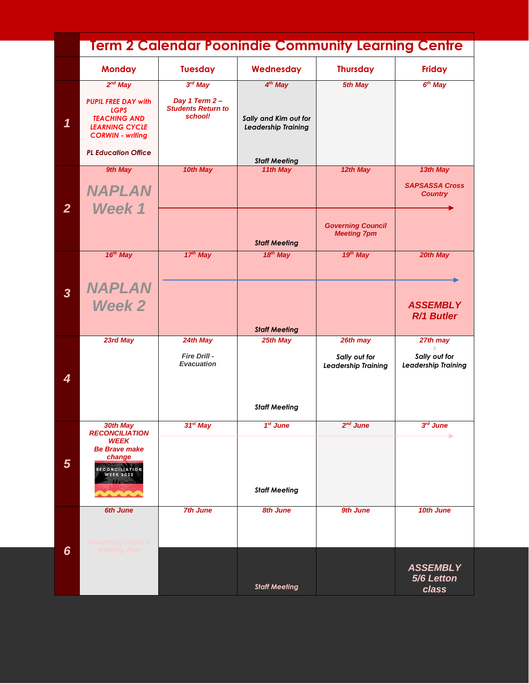|                            | <u>Term 2 Calendar Poonindie Community Learning Centre</u>                                                                           |                                                                    |                                                                     |                                                |                                                     |  |
|----------------------------|--------------------------------------------------------------------------------------------------------------------------------------|--------------------------------------------------------------------|---------------------------------------------------------------------|------------------------------------------------|-----------------------------------------------------|--|
|                            | <b>Monday</b>                                                                                                                        | <b>Tuesday</b>                                                     | Wednesday                                                           | <b>Thursday</b>                                | <b>Friday</b>                                       |  |
| $\boldsymbol{\mathcal{L}}$ | $2^{nd}$ May<br><b>PUPIL FREE DAY with</b><br><b>LGPS</b><br><b>TEACHING AND</b><br><b>LEARNING CYCLE</b><br><b>CORWIN - writing</b> | $3rd$ May<br>Day 1 Term 2-<br><b>Students Return to</b><br>school! | 4 <sup>th</sup> May<br>Sally and Kim out for<br>Leadership Training | 5th May                                        | 6 <sup>th</sup> May                                 |  |
|                            | <b>PL Education Office</b>                                                                                                           |                                                                    | <b>Staff Meeting</b>                                                |                                                |                                                     |  |
| $\overline{2}$             | 9th May<br><b>NAPLAN</b><br>Week 1                                                                                                   | 10th May                                                           | 11th May                                                            | 12th May                                       | 13th May<br><b>SAPSASSA Cross</b><br><b>Country</b> |  |
|                            |                                                                                                                                      |                                                                    | <b>Staff Meeting</b>                                                | <b>Governing Council</b><br><b>Meeting 7pm</b> |                                                     |  |
|                            | 16 <sup>th</sup> May                                                                                                                 | $17th$ May                                                         | 18 <sup>th</sup> May                                                | 19th May                                       | 20th May                                            |  |
| $\overline{\mathbf{3}}$    | <b>NAPLAN</b><br><b>Week 2</b>                                                                                                       |                                                                    |                                                                     |                                                | <b>ASSEMBLY</b><br>R/1 Butler                       |  |
|                            | 23rd May                                                                                                                             | 24th May                                                           | <b>Staff Meeting</b><br>25th May                                    | 26th may                                       | 27th may                                            |  |
| 4                          |                                                                                                                                      | Fire Drill -<br><b>Evacuation</b>                                  |                                                                     | Sally out for<br><b>Leadership Training</b>    | Sally out for<br>Leadership Training                |  |
|                            |                                                                                                                                      |                                                                    | <b>Staff Meeting</b>                                                |                                                |                                                     |  |
| $5\phantom{1}$             | 30th May<br><b>RECONCILIATION</b><br><b>WEEK</b><br><b>Be Brave make</b><br>change<br><b>RECONCILIATION</b><br><b>WEEK 2022</b>      | $31^{st}$ May                                                      | $1st$ June                                                          | $2nd$ June                                     | 3rd June<br>٠                                       |  |
|                            |                                                                                                                                      |                                                                    | <b>Staff Meeting</b>                                                |                                                |                                                     |  |
|                            | <b>6th June</b><br><b>Governing Council</b>                                                                                          | <b>7th June</b>                                                    | <b>8th June</b>                                                     | 9th June                                       | 10th June                                           |  |
| 6                          | <b>Meeting 7pm</b>                                                                                                                   |                                                                    | <b>Staff Meeting</b>                                                |                                                | <b>ASSEMBLY</b><br>5/6 Letton<br>class              |  |